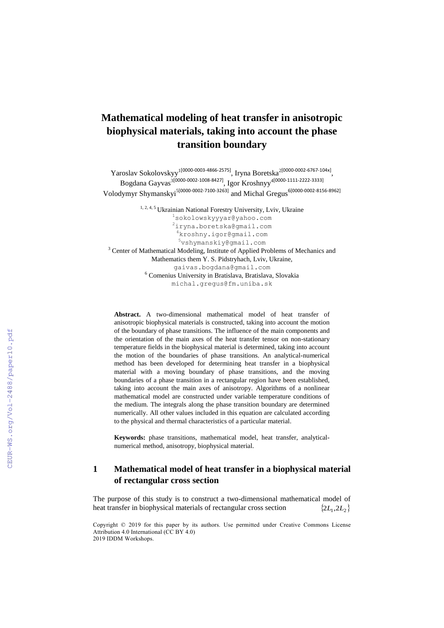# **Mathematical modeling of heat transfer in anisotropic biophysical materials, taking into account the phase transition boundary**

Yaroslav Sokolovskyy<sup>1[0000-0003-4866-2575]</sup>, Iryna Boretska<sup>2[0000-0002-6767-104x]</sup>, Bogdana Gayvas<sup>3[0000-0002-1008-8427]</sup>, Igor Kroshnyy<sup>4[0000-1111-2222-3333]</sup> Volodymyr Shymanskyi<sup>5[0000-0002-7100-3263]</sup> and Michal Gregus<sup>6[0000-0002-8156-8962]</sup>

<sup>1, 2, 4, 5</sup> Ukrainian National Forestry University, Lviv, Ukraine <sup>1</sup>sokolowskyyyar@yahoo.com <sup>2</sup>iryna.boretska@gmail.com <sup>4</sup>kroshny.igor@gmail.com <sup>5</sup>vshymanskiy@gmail.com <sup>3</sup> Center of Mathematical Modeling, Institute of Applied Problems of Mechanics and Mathematics them Y. S. Pidstryhach, Lviv, Ukraine, gaivas.bogdana@gmail.com <sup>6</sup> Comenius University in Bratislava, Bratislava, Slovakia michal.gregus@fm.uniba.sk

**Abstract.** A two-dimensional mathematical model of heat transfer of anisotropic biophysical materials is constructed, taking into account the motion of the boundary of phase transitions. The influence of the main components and the orientation of the main axes of the heat transfer tensor on non-stationary temperature fields in the biophysical material is determined, taking into account the motion of the boundaries of phase transitions. An analytical-numerical method has been developed for determining heat transfer in a biophysical material with a moving boundary of phase transitions, and the moving boundaries of a phase transition in a rectangular region have been established, taking into account the main axes of anisotropy. Algorithms of a nonlinear mathematical model are constructed under variable temperature conditions of the medium. The integrals along the phase transition boundary are determined numerically. All other values included in this equation are calculated according to the physical and thermal characteristics of a particular material.

**Keywords:** phase transitions, mathematical model, heat transfer, analyticalnumerical method, anisotropy, biophysical material.

### **1 Mathematical model of heat transfer in a biophysical material of rectangular cross section**

The purpose of this study is to construct a two-dimensional mathematical model of heat transfer in biophysical materials of rectangular cross sectio n  ${2L_1,2L_2}$ 

2019 IDDM Workshops. Attribution 4.0 International (CC BY 4.0) Copyright © 2019 for this paper by its authors. Use permitted under Creative Commons License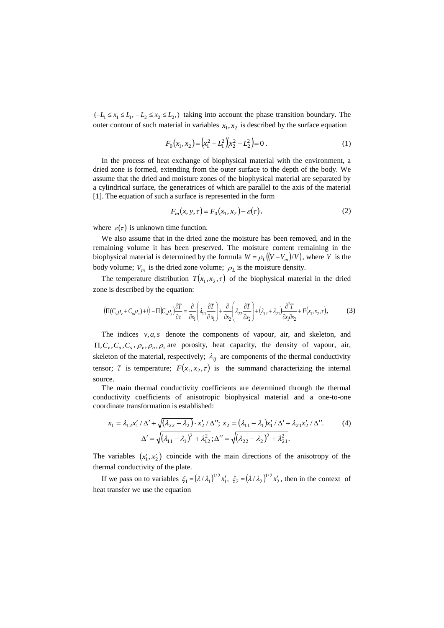$(-L_1 \le x_1 \le L_1, -L_2 \le x_2 \le L_2)$ , taking into account the phase transition boundary. The outer contour of such material in variables  $x_1, x_2$  is described by the surface equation

$$
F_0(x_1, x_2) = \left(x_1^2 - L_1^2\right)\left(x_2^2 - L_2^2\right) = 0\,. \tag{1}
$$

In the process of heat exchange of biophysical material with the environment, a dried zone is formed, extending from the outer surface to the depth of the body. We assume that the dried and moisture zones of the biophysical material are separated by a cylindrical surface, the generatrices of which are parallel to the axis of the material [1]. The equation of such a surface is represented in the form

$$
F_m(x, y, \tau) = F_0(x_1, x_2) - \varepsilon(\tau), \tag{2}
$$

where  $\varepsilon(\tau)$  is unknown time function.

We also assume that in the dried zone the moisture has been removed, and in the remaining volume it has been preserved. The moisture content remaining in the biophysical material is determined by the formula  $W = \rho_L((V - V_m)/V)$ , where V is the body volume;  $V_m$  is the dried zone volume;  $\rho_L$  is the moisture density.

The temperature distribution  $T(x_1, x_2, \tau)$  of the biophysical material in the dried zone is described by the equation:

$$
\left(\Pi(C_{\nu}\rho_{\nu}+C_{a}\rho_{a})+(1-\Pi)C_{s}\rho_{s}\right)\frac{\partial T}{\partial\tau}=\frac{\partial}{\partial x_{1}}\left(\lambda_{11}\frac{\partial T}{\partial x_{1}}\right)+\frac{\partial}{\partial x_{2}}\left(\lambda_{22}\frac{\partial T}{\partial x_{2}}\right)+\left(\lambda_{12}+\lambda_{21}\right)\frac{\partial^{2}T}{\partial x_{1}\partial x_{2}}+F(x_{1},x_{2},\tau),\tag{3}
$$

The indices *v*,*a*,*s* denote the components of vapour, air, and skeleton, and  $\Pi$ ,  $C_v$ ,  $C_a$ ,  $C_s$ ,  $\rho_v$ ,  $\rho_a$ ,  $\rho_s$  are porosity, heat capacity, the density of vapour, air, skeleton of the material, respectively;  $\lambda_{ij}$  are components of the thermal conductivity tensor; *T* is temperature;  $F(x_1, x_2, \tau)$  is the summand characterizing the internal source.

The main thermal conductivity coefficients are determined through the thermal conductivity coefficients of anisotropic biophysical material and a one-to-one coordinate transformation is established:

$$
x_1 = \lambda_{12} x_1' / \Delta' + \sqrt{(\lambda_{22} - \lambda_2)} \cdot x_2' / \Delta''; \ x_2 = (\lambda_{11} - \lambda_1) x_1' / \Delta' + \lambda_{21} x_2' / \Delta''.
$$
  

$$
\Delta' = \sqrt{(\lambda_{11} - \lambda_1)^2 + \lambda_{12}^2}; \ \Delta'' = \sqrt{(\lambda_{22} - \lambda_2)^2 + \lambda_{21}^2}.
$$
 (4)

The variables  $(x'_1, x'_2)$  coincide with the main directions of the anisotropy of the thermal conductivity of the plate.

If we pass on to variables  $\xi_1 = (\lambda/\lambda_1)^{1/2} x_1'$ ,  $\xi_2 = (\lambda/\lambda_2)^{1/2} x_2'$ , then in the context of heat transfer we use the equation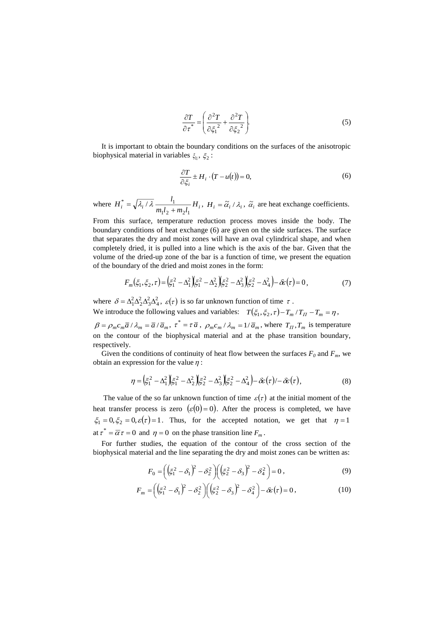$$
\frac{\partial T}{\partial \tau^*} = \left( \frac{\partial^2 T}{\partial \xi_1^2} + \frac{\partial^2 T}{\partial \xi_2^2} \right).
$$
\n(5)

It is important to obtain the boundary conditions on the surfaces of the anisotropic biophysical material in variables  $\xi_{1}$ ,  $\xi_{2}$ :

$$
\frac{\partial T}{\partial \xi_i} \pm H_i \cdot (T - u(t)) = 0,\tag{6}
$$

where  $H_i^* = \sqrt{\lambda_i / \lambda_i} \frac{v_1}{m_1 l_2 + m_2 l_1} H_i^*$  $H_i^* = \sqrt{\lambda_i/\lambda}$   $\frac{l}{l}$  $1^{12}$   $1^{11}2^{11}$  $\vec{a}_i^* = \sqrt{\lambda_i / \lambda_i} \frac{i_1}{m_i l_2 + m_i l_i} H_i$ ,  $H_i = \tilde{\alpha_i} / \lambda_i$ ,  $\tilde{\alpha_i}$  are heat exchange coefficients.

From this surface, temperature reduction process moves inside the body. The boundary conditions of heat exchange (6) are given on the side surfaces. The surface that separates the dry and moist zones will have an oval cylindrical shape, and when completely dried, it is pulled into a line which is the axis of the bar. Given that the volume of the dried-up zone of the bar is a function of time, we present the equation of the boundary of the dried and moist zones in the form:

$$
F_m(\xi_1, \xi_2, \tau) = \left(\xi_1^2 - \Delta_1^2\right) \left(\xi_1^2 - \Delta_2^2\right) \left(\xi_2^2 - \Delta_3^2\right) \left(\xi_2^2 - \Delta_4^2\right) - \delta \varepsilon(\tau) = 0,
$$
\n(7)

where  $\delta = \Delta_1^2 \Delta_2^2 \Delta_3^2 \Delta_4^2$ ,  $\varepsilon(\tau)$  is so far unknown function of time  $\tau$ . We introduce the following values and variables:  $T(\xi_1, \xi_2, \tau) - T_m / T_H - T_m = \eta$ ,

 $\beta = \rho_m c_m \overline{a} / \lambda_m = \overline{a} / \overline{a}_m$ ,  $\tau^* = \tau \overline{a}$ ,  $\rho_m c_m / \lambda_m = 1 / \overline{a}_m$ , where  $T_{\overline{H}}, T_m$  is temperature on the contour of the biophysical material and at the phase transition boundary, respectively.

Given the conditions of continuity of heat flow between the surfaces  $F_0$  and  $F_m$ , we obtain an expression for the value  $\eta$ :

$$
\eta = \left(\xi_1^2 - \Delta_1^2\right)\left(\xi_1^2 - \Delta_2^2\right)\left(\xi_2^2 - \Delta_3^2\right)\left(\xi_2^2 - \Delta_4^2\right) - \delta\epsilon(\tau) - \delta\epsilon(\tau),\tag{8}
$$

The value of the so far unknown function of time  $\varepsilon(\tau)$  at the initial moment of the heat transfer process is zero  $(\varepsilon(0) = 0)$ . After the process is completed, we have  $\xi_1 = 0, \xi_2 = 0, \varepsilon(\tau) = 1$ . Thus, for the accepted notation, we get that  $\eta = 1$ at  $\tau^* = \overline{\alpha} \tau = 0$  and  $\eta = 0$  on the phase transition line  $F_m$ .

For further studies, the equation of the contour of the cross section of the biophysical material and the line separating the dry and moist zones can be written as:

$$
F_0 = \left( \left( \xi_1^2 - \delta_1 \right)^2 - \delta_2^2 \right) \left( \left( \xi_2^2 - \delta_3 \right)^2 - \delta_4^2 \right) = 0, \tag{9}
$$

$$
F_m = \left( \left( \xi_1^2 - \delta_1 \right)^2 - \delta_2^2 \right) \left( \left( \xi_2^2 - \delta_3 \right)^2 - \delta_4^2 \right) - \delta \varepsilon(\tau) = 0, \tag{10}
$$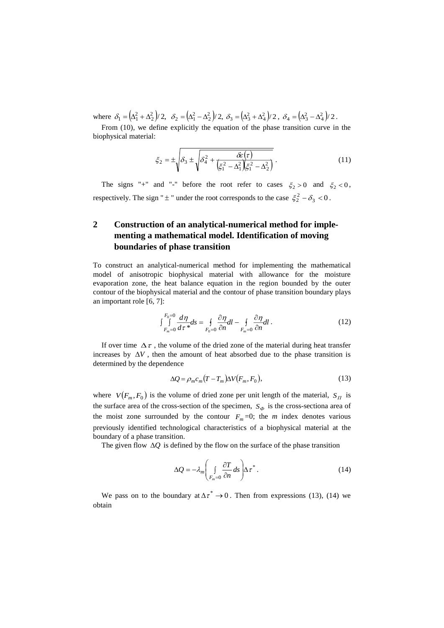where  $\delta_1 = (\Delta_1^2 + \Delta_2^2)/2$ ,  $\delta_2 = (\Delta_1^2 - \Delta_2^2)/2$ ,  $\delta_3 = (\Delta_3^2 + \Delta_4^2)/2$ ,  $\delta_4 = (\Delta_3^2 - \Delta_4^2)/2$ .

From (10), we define explicitly the equation of the phase transition curve in the biophysical material:

$$
\xi_2 = \pm \sqrt{\delta_3 \pm \sqrt{\delta_4^2 + \frac{\delta \varepsilon(\tau)}{(\xi_1^2 - \Delta_1^2)(\xi_1^2 - \Delta_2^2)}}.
$$
\n(11)

The signs "+" and "-" before the root refer to cases  $\xi_2 > 0$  and  $\xi_2 < 0$ , respectively. The sign " $\pm$ " under the root corresponds to the case  $\xi_2^2 - \delta_3 < 0$ .

## **2 Construction of an analytical-numerical method for implementing a mathematical model. Identification of moving boundaries of phase transition**

To construct an analytical-numerical method for implementing the mathematical model of anisotropic biophysical material with allowance for the moisture evaporation zone, the heat balance equation in the region bounded by the outer contour of the biophysical material and the contour of phase transition boundary plays an important role [6, 7]:

$$
\int_{F_m=0}^{F_0=0} \frac{d\eta}{d\tau^*} ds = \oint_{F_0=0} \frac{\partial \eta}{\partial n} dl - \oint_{F_m=0} \frac{\partial \eta}{\partial n} dl. \tag{12}
$$

If over time  $\Delta \tau$ , the volume of the dried zone of the material during heat transfer increases by  $\Delta V$ , then the amount of heat absorbed due to the phase transition is determined by the dependence

$$
\Delta Q = \rho_m c_m (T - T_m) \Delta V (F_m, F_0), \tag{13}
$$

where  $V(F_m, F_0)$  is the volume of dried zone per unit length of the material,  $S_H$  is the surface area of the cross-section of the specimen,  $S_{\phi}$  is the cross-sectiona area of the moist zone surrounded by the contour  $F_m = 0$ ; the *m* index denotes various previously identified technological characteristics of a biophysical material at the boundary of a phase transition.

The given flow  $\Delta Q$  is defined by the flow on the surface of the phase transition

$$
\Delta Q = -\lambda_m \left( \int\limits_{F_m=0} \frac{\partial T}{\partial n} ds \right) \Delta \tau^* \,. \tag{14}
$$

We pass on to the boundary at  $\Delta \tau^* \rightarrow 0$ . Then from expressions (13), (14) we obtain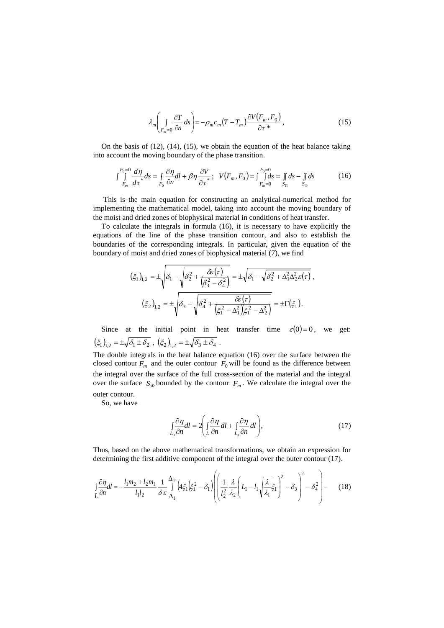$$
\lambda_m \left( \int\limits_{F_m=0} \frac{\partial T}{\partial n} ds \right) = -\rho_m c_m (T - T_m) \frac{\partial V(F_m, F_0)}{\partial \tau^*}, \tag{15}
$$

On the basis of (12), (14), (15), we obtain the equation of the heat balance taking into account the moving boundary of the phase transition.

$$
\int_{F_m}^{F_0=0} \frac{d\eta}{d\tau^*} d\tau = \oint_{F_0} \frac{\partial \eta}{\partial n} dl + \beta \eta \frac{\partial V}{\partial \tau^*}; \quad V(F_m, F_0) = \int_{F_m=0}^{F_0=0} \int_{S_{\Pi}} ds - \iint_{S_{\Phi}} ds \tag{16}
$$

This is the main equation for constructing an analytical-numerical method for implementing the mathematical model, taking into account the moving boundary of the moist and dried zones of biophysical material in conditions of heat transfer.

To calculate the integrals in formula (16), it is necessary to have explicitly the equations of the line of the phase transition contour, and also to establish the boundaries of the corresponding integrals. In particular, given the equation of the boundary of moist and dried zones of biophysical material (7), we find

$$
(\xi_1)_{1,2} = \pm \sqrt{\delta_1 - \sqrt{\delta_2^2 + \frac{\delta \varepsilon(\tau)}{(\delta_3^2 - \delta_4^2)}}} = \pm \sqrt{\delta_1 - \sqrt{\delta_2^2 + \Delta_1^2 \Delta_2^2 \varepsilon(\tau)}},
$$

$$
(\xi_2)_{1,2} = \pm \sqrt{\delta_3 - \sqrt{\delta_4^2 + \frac{\delta \varepsilon(\tau)}{(\xi_1^2 - \Delta_1^2)(\xi_1^2 - \Delta_2^2)}}} = \pm \Gamma(\xi_1).
$$

Since at the initial point in heat transfer time  $\varepsilon(0) = 0$ , we get:  $\big(\xi_1\big)_{\!\! 1,2} = \pm \sqrt{\delta_1 \pm \delta_2} \,\, , \,\, \big(\xi_2\big)_{\!\! 1,2} = \pm \sqrt{\delta_3 \pm \delta_4} \,\, .$ 

The double integrals in the heat balance equation (16) over the surface between the closed contour  $F_m$  and the outer contour  $F_0$  will be found as the difference between the integral over the surface of the full cross-section of the material and the integral over the surface  $S_{\phi}$  bounded by the contour  $F_m$ . We calculate the integral over the outer contour.

So, we have

$$
\int_{L_0} \frac{\partial \eta}{\partial n} dl = 2 \left( \int_L \frac{\partial \eta}{\partial n} dl + \int_{L_3} \frac{\partial \eta}{\partial n} dl \right),\tag{17}
$$

Thus, based on the above mathematical transformations, we obtain an expression for determining the first additive component of the integral over the outer contour (17).

$$
\int_{L} \frac{\partial \eta}{\partial n} dl = -\frac{l_1 m_2 + l_2 m_1}{l_1 l_2} \frac{1}{\delta \varepsilon} \frac{\Delta_2}{\Delta_1} \left( 4 \xi_1 \left( \xi_1^2 - \delta_1 \right) \left( \left( \frac{1}{l_2^2} \frac{\lambda}{\lambda_2} \left( L_1 - l_1 \sqrt{\frac{\lambda}{\lambda_1}} \xi_1 \right)^2 - \delta_3 \right)^2 - \delta_4^2 \right) - (18)
$$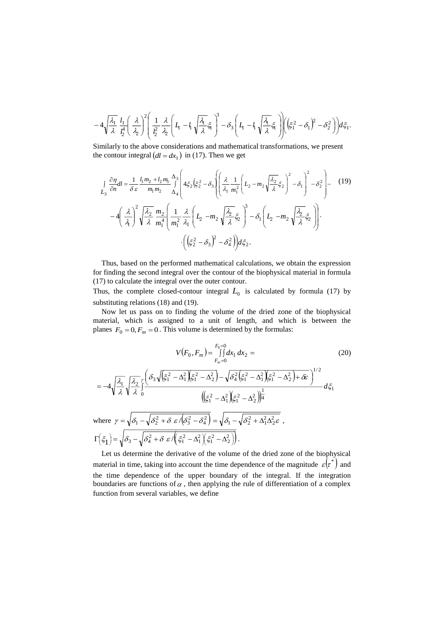$$
-4\sqrt{\frac{\lambda_1}{\lambda}}\frac{l_1}{l_2^4}\left(\frac{\lambda}{\lambda_2}\right)^2\left(\frac{1}{l_2^2}\frac{\lambda}{\lambda_2}\left(L_1-l_1\sqrt{\frac{\lambda_1}{\lambda}}\xi_1\right)^3-\delta_3\left(L_1-l_1\sqrt{\frac{\lambda_1}{\lambda}}\xi_1\right)\right)\left(\xi_1^2-\delta_1\right)^2-\delta_2^2\right)\bigg)d\xi_1.
$$

Similarly to the above considerations and mathematical transformations, we present the contour integral  $(dl = dx_1)$  in (17). Then we get

$$
\int_{L_3} \frac{\partial \eta}{\partial n} dl = \frac{1}{\delta \varepsilon} \frac{l_1 m_2 + l_2 m_1}{m_1 m_2} \frac{\Delta_3}{\Delta_4} \left\{ 4\xi_2 \left( \xi_2^2 - \delta_3 \right) \left( \frac{\lambda}{\lambda_1} \frac{1}{m_1^2} \left( L_2 - m_2 \sqrt{\frac{\lambda_2}{\lambda}} \xi_2 \right)^2 - \delta_1 \right)^2 - \delta_2^2 \right\} - \left( 19 \right)
$$
\n
$$
-4 \left( \frac{\lambda}{\lambda_1} \right)^2 \sqrt{\frac{\lambda_2}{\lambda}} \frac{m_2}{m_1^4} \left( \frac{1}{m_1^2} \frac{\lambda}{\lambda_1} \left( L_2 - m_2 \sqrt{\frac{\lambda_2}{\lambda}} \xi_2 \right)^3 - \delta_1 \left( L_2 - m_2 \sqrt{\frac{\lambda_2}{\lambda}} \xi_2 \right) \right) \cdot \left( \left( \xi_2^2 - \delta_3 \right)^2 - \delta_4^2 \right) d\xi_2.
$$
\n(19)

Thus, based on the performed mathematical calculations, we obtain the expression for finding the second integral over the contour of the biophysical material in formula (17) to calculate the integral over the outer contour.

Thus, the complete closed-contour integral  $L_0$  is calculated by formula (17) by substituting relations (18) and (19).

Now let us pass on to finding the volume of the dried zone of the biophysical material, which is assigned to a unit of length, and which is between the planes  $F_0 = 0, F_m = 0$ . This volume is determined by the formulas:

$$
V(F_0, F_m) = \int_{F_m=0}^{F_0=0} dx_1 dx_2 =
$$
\n
$$
= -4\sqrt{\frac{\lambda_1}{\lambda}} \sqrt{\frac{\lambda_2}{\lambda}} \int_0^{\sqrt{(\xi_1^2 - \Delta_1^2)(\xi_1^2 - \Delta_2^2)} - \sqrt{\delta_4^2(\xi_1^2 - \Delta_1^2)(\xi_1^2 - \Delta_2^2)} + \delta\epsilon}} \Big|_{1/2}^{1/2}
$$
\n
$$
= -4\sqrt{\frac{\lambda_1}{\lambda}} \sqrt{\frac{\lambda_2}{\lambda}} \int_0^{\sqrt{(\xi_1^2 - \Delta_1^2)(\xi_1^2 - \Delta_2^2)} - \sqrt{\delta_4^2(\xi_1^2 - \Delta_2^2)} \Big|_0^1}{(\xi_1^2 - \Delta_1^2)(\xi_1^2 - \Delta_2^2)} \Big|_0^1} d\xi_1
$$
\nwhere  $\gamma = \sqrt{\delta_1 - \sqrt{\delta_2^2 + \delta \epsilon / (\delta_3^2 - \delta_4^2)} = \sqrt{\delta_1 - \sqrt{\delta_2^2 + \Delta_1^2 \Delta_2^2 \epsilon}}$ ,

\n
$$
\Gamma(\xi_1) = \sqrt{\delta_3 - \sqrt{\delta_4^2 + \delta \epsilon / (\xi_1^2 - \Delta_1^2)(\xi_1^2 - \Delta_2^2)}}.
$$
\n(20)

Let us determine the derivative of the volume of the dried zone of the biophysical material in time, taking into account the time dependence of the magnitude  $\varepsilon(\tau^*)$  and the time dependence of the upper boundary of the integral. If the integration boundaries are functions of  $\alpha$ , then applying the rule of differentiation of a complex function from several variables, we define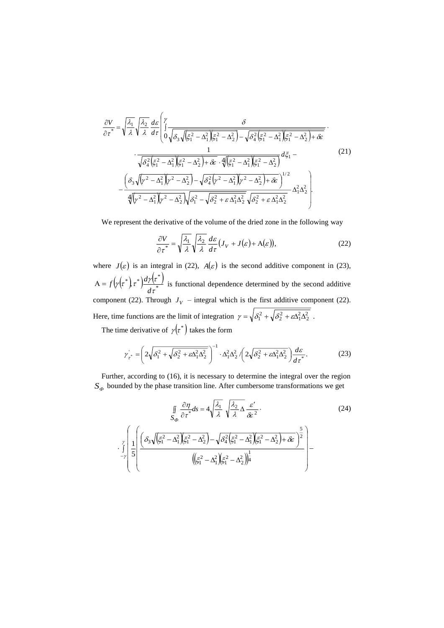$$
\frac{\partial V}{\partial \tau} = \sqrt{\frac{\lambda_1}{\lambda}} \sqrt{\frac{\lambda_2}{\lambda}} \frac{d\varepsilon}{d\tau} \left( \int \frac{\delta}{\sqrt{\delta_3 \sqrt{\xi_1^2 - \Delta_1^2} \xi_1^2 - \Delta_2^2} - \sqrt{\delta_4^2 \xi_1^2 - \Delta_1^2} \xi_1^2 - \Delta_2^2} \right) + \frac{1}{\sqrt{\delta_4^2 \xi_1^2 - \Delta_1^2} \xi_1^2 - \Delta_1^2 \xi_1^2 - \Delta_2^2} \cdot \frac{1}{\sqrt{\delta_4^2 \xi_1^2 - \Delta_1^2} \xi_1^2 - \Delta_2^2} \frac{d\zeta_1}{d\zeta_1} - \frac{\left( \delta_3 \sqrt{\gamma^2 - \Delta_1^2} \right) \left(\gamma^2 - \Delta_2^2\right) - \sqrt{\delta_4^2 \left(\gamma^2 - \Delta_1^2\right) \left(\gamma^2 - \Delta_2^2\right) + \delta \varepsilon}}{\sqrt{\gamma^2 - \Delta_1^2} \sqrt{\gamma^2 - \Delta_2^2} \sqrt{\delta_1^2 - \sqrt{\delta_2^2 + \varepsilon \Delta_1^2} \Delta_2^2} \sqrt{\delta_2^2 + \varepsilon \Delta_1^2 \Delta_2^2}} \frac{d\zeta_1}{d\zeta_2} - \frac{\Delta_1^2 \Delta_2^2}{\sqrt{\gamma^2 - \Delta_1^2} \sqrt{\gamma^2 - \Delta_2^2} \sqrt{\delta_1^2 - \sqrt{\delta_2^2 + \varepsilon \Delta_1^2} \Delta_2^2}} \frac{d\zeta_1}{d\zeta_2} - \frac{\Delta_1^2 \Delta_2^2}{\sqrt{\gamma^2 - \Delta_1^2} \sqrt{\gamma^2 - \Delta_2^2} \sqrt{\delta_1^2 - \sqrt{\delta_2^2 + \varepsilon \Delta_1^2} \Delta_2^2}} \frac{d\zeta_1}{d\zeta_1} - \frac{\left(\frac{\delta_1^2 \Delta_1^2 \Delta_2^2}{d\zeta_1} - \frac{\delta_1^2 \Delta_2^2}{d\zeta_1} + \frac{\delta_1^2 \Delta_2^2}{d\zeta_1} + \frac{\delta_1^2 \Delta_2^2}{d\zeta_1} \right)}{d\zeta_1} - \frac{\left
$$

We represent the derivative of the volume of the dried zone in the following way

$$
\frac{\partial V}{\partial \tau^*} = \sqrt{\frac{\lambda_1}{\lambda}} \sqrt{\frac{\lambda_2}{\lambda}} \frac{d\varepsilon}{d\tau} (J_V + J(\varepsilon) + A(\varepsilon)),
$$
\n(22)

where  $J(\varepsilon)$  is an integral in (22),  $A(\varepsilon)$  is the second additive component in (23),  $(\gamma(\tau^*)) \tau^* \frac{d\gamma(\tau^*)}{d\tau^*}$ \*)  $\tau^*$ ) $\frac{d\gamma(\tau^*)}{d\tau^*}$  $\left(\gamma\left(\tau^*\right)\tau^*\right)\frac{d\gamma\left(\tau\right)}{d\,\tau}$  $A = f(\gamma(\tau^*)) d\gamma(\tau^*)$  is functional dependence determined by the second additive component (22). Through  $J_V$  – integral which is the first additive component (22). Here, time functions are the limit of integration  $\gamma = \sqrt{\delta_1^2 + \sqrt{\delta_2^2 + \epsilon \Delta_1^2 \Delta_2^2}}$ .

The time derivative of  $\gamma(\tau^*)$  takes the form

$$
\gamma_{\tau^*} = \left(2\sqrt{\delta_1^2 + \sqrt{\delta_2^2 + \varepsilon \Delta_1^2 \Delta_2^2}}\right)^{-1} \cdot \Delta_1^2 \Delta_2^2 \left(2\sqrt{\delta_2^2 + \varepsilon \Delta_1^2 \Delta_2^2}\right) \frac{d\varepsilon}{d\tau^*}.
$$
 (23)

Further, according to (16), it is necessary to determine the integral over the region  $S_{\phi}$  bounded by the phase transition line. After cumbersome transformations we get

$$
\iint_{S_{\varphi}} \frac{\partial \eta}{\partial \tau^*} d\varsigma = 4 \sqrt{\frac{\lambda_1}{\lambda}} \sqrt{\frac{\lambda_2}{\lambda} \Delta} \frac{\varepsilon'}{\delta \varepsilon^2}.
$$
\n
$$
\iint_{-\gamma}^{\gamma} \left[ \frac{1}{5} \left( \frac{\delta_3 \sqrt{(\xi_1^2 - \Delta_1^2)(\xi_1^2 - \Delta_2^2)} - \sqrt{\delta_4^2 (\xi_1^2 - \Delta_1^2)(\xi_1^2 - \Delta_2^2)} + \delta \varepsilon} \right)^{\frac{5}{2}} \right] \left( (\xi_1^2 - \Delta_1^2)(\xi_1^2 - \Delta_2^2) \right)^{\frac{1}{4}}.
$$
\n(24)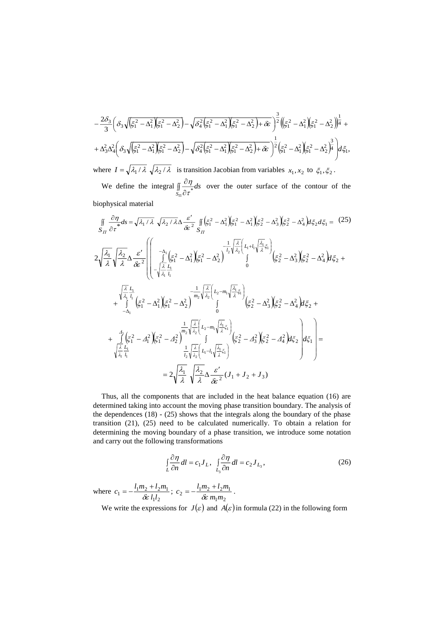$$
-\frac{2\delta_3}{3}\left(\delta_3\sqrt{(\xi_1^2-\Delta_1^2)(\xi_1^2-\Delta_2^2)}-\sqrt{\delta_4^2(\xi_1^2-\Delta_1^2)(\xi_1^2-\Delta_2^2)}+\delta\epsilon\right)^{\frac{3}{2}}((\xi_1^2-\Delta_1^2)(\xi_1^2-\Delta_2^2))\frac{1}{4}++\Delta_3^2\Delta_4^2\left(\delta_3\sqrt{(\xi_1^2-\Delta_1^2)(\xi_1^2-\Delta_2^2)}-\sqrt{\delta_4^2(\xi_1^2-\Delta_1^2)(\xi_1^2-\Delta_2^2)}+\delta\epsilon\right)^{\frac{1}{2}}(\xi_1^2-\Delta_1^2)(\xi_1^2-\Delta_2^2)^{\frac{3}{4}}\right)d\xi_1,
$$
  
where  $I = \sqrt{\lambda_1/\lambda}$   $\sqrt{\lambda_2/\lambda}$  is transition Jacobian from variables  $x_1, x_2$  to  $\xi_1, \xi_2$ .

We define the integral  $\int_{-\infty}^{\infty} ds$  $\iint\limits_{S_{\text{II}}}$   $\frac{1}{\hat{C}}$ д  $\tau^*$  $\frac{\partial \eta}{\partial t}$  over the outer surface of the contour of the biophysical material

$$
\iint_{S_{II}} \frac{\partial \eta}{\partial \tau} dS = \sqrt{\lambda_1 / \lambda} \sqrt{\lambda_2 / \lambda} \Delta \frac{\varepsilon'}{\partial \varepsilon^2} \iint_{S_{II}} \left( \xi_1^2 - \Delta_1^2 \right) \left( \xi_2^2 - \Delta_2^2 \right) \left( \xi_2^2 - \Delta_3^2 \right) \left( \xi_2^2 - \Delta_4^2 \right) d\xi_2 d\xi_1 = (25)
$$
\n
$$
2 \sqrt{\frac{\lambda_1}{\lambda}} \sqrt{\frac{\lambda_2}{\lambda}} \Delta \frac{\varepsilon'}{\partial \varepsilon^2} \left( \begin{array}{ccc} -\Delta_1 \\ -\Delta_1 \\ -\Delta_2 \end{array} \left( \xi_1^2 - \Delta_1^2 \right) \left( \xi_1^2 - \Delta_2^2 \right)^{-\frac{1}{2}} \right)^{\frac{1}{2}} \left( \frac{\lambda_1}{\lambda_2} \left( \lambda_1 + \lambda_1 \frac{\lambda_1}{\lambda_2} \xi_1 \right) \right) \left( \xi_2^2 - \Delta_3^2 \right) \left( \xi_2^2 - \Delta_4^2 \right) d\xi_2 + \frac{\sqrt{\frac{\lambda_1}{\lambda_1}} \lambda_1}{\lambda_1} \left( \xi_1^2 - \Delta_1^2 \right) \left( \xi_1^2 - \Delta_2^2 \right)^{-\frac{1}{2}} \right)^{\frac{1}{2}} \left( \frac{\lambda_1}{\lambda_2} \left( \lambda_2 - m_1 \sqrt{\frac{\lambda_1}{\lambda}} \xi_1 \right) \right) \left( \xi_2^2 - \Delta_3^2 \right) \left( \xi_2^2 - \Delta_4^2 \right) d\xi_2 + \frac{\lambda_2}{\lambda_1} \left( \xi_1^2 - \Delta_1^2 \right) \left( \xi_1^2 - \Delta_2^2 \right)^{-\frac{1}{2}} \left( \frac{\lambda_1}{\lambda_2} \left( \lambda_2 - m_1 \sqrt{\frac{\lambda_1}{\lambda}} \xi_1 \right) \right) \left( \xi_2^2 - \Delta_3^2 \right) \left( \xi_2^2 - \Delta_4^2 \right) d\xi_2 + \frac{\lambda_2}{\lambda_1} \left( \xi_1^2 - \Delta_1^2 \right) \left( \xi_1^2 - \Delta
$$

Thus, all the components that are included in the heat balance equation (16) are determined taking into account the moving phase transition boundary. The analysis of the dependences (18) - (25) shows that the integrals along the boundary of the phase transition (21), (25) need to be calculated numerically. To obtain a relation for determining the moving boundary of a phase transition, we introduce some notation and carry out the following transformations

$$
\int_{L} \frac{\partial \eta}{\partial n} dl = c_1 J_L, \quad \int_{L_3} \frac{\partial \eta}{\partial n} dl = c_2 J_{L_3},
$$
\n(26)

where  $1^{\iota}2$  $\sigma_1 = -\frac{i_1 m_2 + i_2 m_1}{\delta \epsilon l_1 l_2}$  $c_1 = -\frac{l_1 m_2 + l_2 m}{\delta \epsilon l_1 l_2}$  $=-\frac{l_1m_2+l_2m_1}{l_1l_2l_2l_3l_3l_4}$ ;  $1^{\prime \prime \prime}2$  $v_2 = -\frac{i_1 m_2 + i_2 m_1}{\delta \epsilon m_1 m_2}$  $c_2 = -\frac{l_1 m_2 + l_2 m}{\delta \epsilon m_1 m_2}$  $=-\frac{l_1m_2+l_2m_1}{l_1}$ .

We write the expressions for  $J(\varepsilon)$  and  $A(\varepsilon)$  in formula (22) in the following form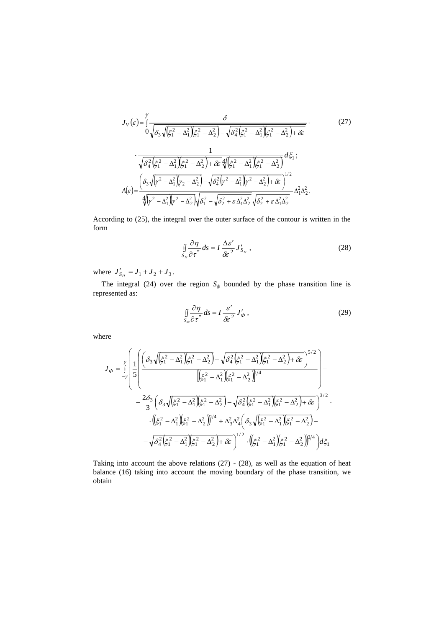$$
J_{V}(\varepsilon) = \int_{0}^{\gamma} \frac{\delta}{\sqrt{\delta_{3}\sqrt{(\xi_{1}^{2} - \Delta_{1}^{2})(\xi_{1}^{2} - \Delta_{2}^{2})} - \sqrt{\delta_{4}^{2}(\xi_{1}^{2} - \Delta_{1}^{2})(\xi_{1}^{2} - \Delta_{2}^{2}) + \delta \varepsilon}}}}.
$$
(27)  

$$
\cdot \frac{1}{\sqrt{\delta_{4}^{2}(\xi_{1}^{2} - \Delta_{1}^{2})(\xi_{1}^{2} - \Delta_{2}^{2}) + \delta \varepsilon} \sqrt{\delta_{4}^{2}(\xi_{1}^{2} - \Delta_{1}^{2})(\xi_{1}^{2} - \Delta_{2}^{2})}} d\xi_{1};
$$

$$
A(\varepsilon) = \frac{\left(\delta_{3}\sqrt{\gamma^{2} - \Delta_{1}^{2}}\right)\gamma_{2} - \Delta_{2}^{2}}{\sqrt{\gamma^{2} - \Delta_{1}^{2}}\gamma_{2}^{2} - \Delta_{2}^{2}} \sqrt{\delta_{1}^{2} - \sqrt{\delta_{2}^{2} + \varepsilon \Delta_{1}^{2}}\sqrt{\delta_{2}^{2} + \varepsilon \Delta_{1}^{2}}}} d\xi_{1}^{2}.
$$

According to (25), the integral over the outer surface of the contour is written in the form

$$
\iint\limits_{S_{II}} \frac{\partial \eta}{\partial \tau^*} ds = I \frac{\Delta \varepsilon'}{\delta \varepsilon^2} J'_{S_{II}} , \qquad (28)
$$

where  $J'_{S_{\Pi}} = J_1 + J_2 + J_3$ .

The integral (24) over the region  $S_\phi$  bounded by the phase transition line is represented as:

$$
\iint\limits_{S_{\varphi}} \frac{\partial \eta}{\partial \tau^*} ds = I \frac{\varepsilon'}{\mathcal{E}^2} J_{\varphi} \,, \tag{29}
$$

where

$$
J_{\Phi} = \int_{-\gamma}^{\gamma} \left( \frac{1}{5} \left( \frac{\delta_3 \sqrt{\xi_1^2 - \Delta_1^2} \xi_1^2 - \Delta_2^2} - \sqrt{\delta_4^2 \xi_1^2 - \Delta_1^2} \xi_1^2 - \Delta_2^2 + \delta \epsilon} {\left[ \xi_1^2 - \Delta_1^2 \right] \xi_1^2 - \Delta_2^2} \right)^{5/2} \right) - \frac{2\delta_3}{3} \left( \delta_3 \sqrt{\xi_1^2 - \Delta_1^2} \xi_1^2 - \Delta_2^2 \right) - \sqrt{\delta_4^2 \xi_1^2 - \Delta_1^2} \left( \xi_1^2 - \Delta_2^2 \right) + \delta \epsilon}^{\gamma/2} \cdot \left( \frac{\xi_1^2 - \Delta_1^2} {\xi_1^2 - \Delta_1^2} \xi_1^2 - \Delta_2^2 \right)^{1/4} + \Delta_3^2 \Delta_4^2 \left( \delta_3 \sqrt{\xi_1^2 - \Delta_1^2} \xi_1^2 - \Delta_2^2 \right) - \sqrt{\delta_4^2 \xi_1^2 - \Delta_1^2} \left( \frac{\xi_1^2 - \Delta_1^2} {\xi_1^2 - \Delta_1^2} \xi_1^2 - \Delta_2^2 \right)^{1/2} \cdot \left( \frac{\xi_1^2 - \Delta_1^2} {\xi_1^2 - \Delta_2^2} \right)^{3/4} \right) d\xi_1
$$

Taking into account the above relations (27) - (28), as well as the equation of heat balance (16) taking into account the moving boundary of the phase transition, we obtain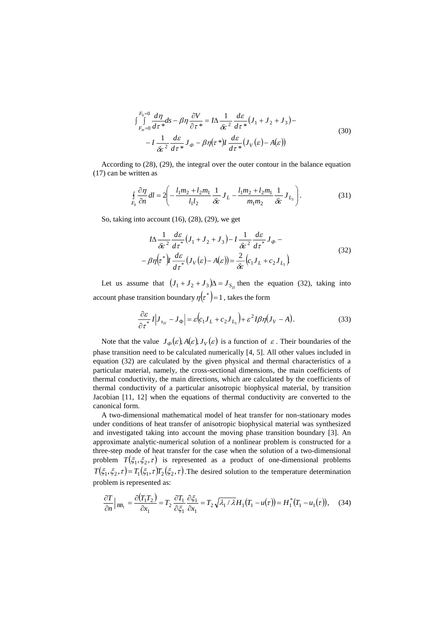$$
\int_{F_m=0}^{F_0=0} \frac{d\eta}{d\tau^*} ds - \beta \eta \frac{\partial V}{\partial \tau^*} = I \Delta \frac{1}{\delta \varepsilon^2} \frac{d\varepsilon}{d\tau^*} (J_1 + J_2 + J_3) -
$$
  

$$
-I \frac{1}{\delta \varepsilon^2} \frac{d\varepsilon}{d\tau^*} J_\phi - \beta \eta(\tau^*) I \frac{d\varepsilon}{d\tau^*} (J_V(\varepsilon) - A(\varepsilon))
$$
(30)

According to (28), (29), the integral over the outer contour in the balance equation (17) can be written as

$$
\oint_{F_0} \frac{\partial \eta}{\partial n} dl = 2 \left( -\frac{l_1 m_2 + l_2 m_1}{l_1 l_2} \frac{1}{\delta \varepsilon} J_L - \frac{l_1 m_2 + l_2 m_1}{m_1 m_2} \frac{1}{\delta \varepsilon} J_{L_3} \right). \tag{31}
$$

So, taking into account (16), (28), (29), we get

$$
I\Delta \frac{1}{\delta \varepsilon^2} \frac{d\varepsilon}{d\tau^*} (J_1 + J_2 + J_3) - I \frac{1}{\delta \varepsilon^2} \frac{d\varepsilon}{d\tau^*} J_\phi -
$$
  

$$
-\beta \eta(\tau^*) I \frac{d\varepsilon}{d\tau^*} (J_V(\varepsilon) - A(\varepsilon)) = \frac{2}{\delta \varepsilon} (c_1 J_L + c_2 J_{L_3})
$$
(32)

Let us assume that  $(J_1 + J_2 + J_3)\Delta = J_{S_{II}}$  then the equation (32), taking into account phase transition boundary  $\eta\big(\tau^\ast\big)$ =1, takes the form

$$
\frac{\partial \varepsilon}{\partial \tau^*} I |J_{s_{\Pi}} - J_{\Phi}| = \varepsilon (c_1 J_L + c_2 J_{L_3}) + \varepsilon^2 I \beta \eta (J_V - A). \tag{33}
$$

Note that the value  $J_{\phi}(\varepsilon)$ ,  $A(\varepsilon)$ ,  $J_{V}(\varepsilon)$  is a function of  $\varepsilon$ . Their boundaries of the phase transition need to be calculated numerically [4, 5]. All other values included in equation (32) are calculated by the given physical and thermal characteristics of a particular material, namely, the cross-sectional dimensions, the main coefficients of thermal conductivity, the main directions, which are calculated by the coefficients of thermal conductivity of a particular anisotropic biophysical material, by transition Jacobian [11, 12] when the equations of thermal conductivity are converted to the canonical form.

A two-dimensional mathematical model of heat transfer for non-stationary modes under conditions of heat transfer of anisotropic biophysical material was synthesized and investigated taking into account the moving phase transition boundary [3]. An approximate analytic-numerical solution of a nonlinear problem is constructed for a three-step mode of heat transfer for the case when the solution of a two-dimensional problem  $T(\xi_1, \xi_2, \tau)$  is represented as a product of one-dimensional problems  $T(\xi_1, \xi_2, \tau) = T_1(\xi_1, \tau)T_2(\xi_2, \tau)$ . The desired solution to the temperature determination problem is represented as:

$$
\frac{\partial T}{\partial n}\Big|_{BB_1} = \frac{\partial (T_1 T_2)}{\partial x_1} = T_2 \frac{\partial T_1}{\partial \xi_1} \frac{\partial \xi_1}{\partial x_1} = T_2 \sqrt{\lambda_1 / \lambda} H_1 (T_1 - u(\tau)) = H_1^* (T_1 - u_1(\tau)), \quad (34)
$$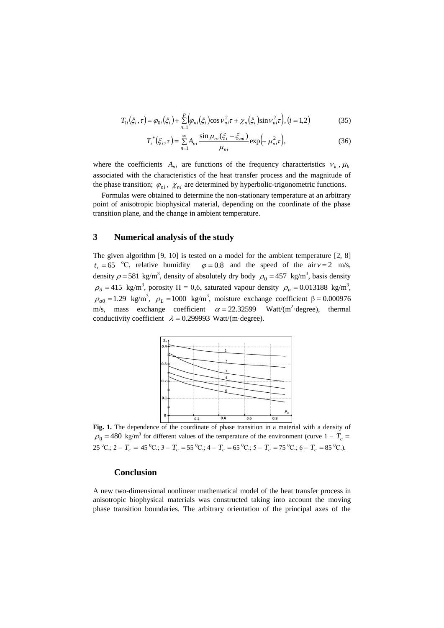$$
T_{1i}(\xi_i, \tau) = \varphi_{0i}(\xi_i) + \sum_{n=1}^{p} \left( \varphi_{ni}(\xi_i) \cos \nu_{ni}^2 \tau + \chi_n(\xi_i) \sin \nu_{ni}^2 \tau \right), (i = 1, 2)
$$
 (35)

$$
T_i^*(\xi_i, \tau) = \sum_{n=1}^{\infty} A_{ni} \frac{\sin \mu_{ni}(\xi_i - \xi_{mi})}{\mu_{ni}} \exp\left(-\mu_{ni}^2 \tau\right),\tag{36}
$$

where the coefficients  $A_{ni}$  are functions of the frequency characteristics  $v_k$ ,  $\mu_k$ associated with the characteristics of the heat transfer process and the magnitude of the phase transition;  $\varphi_{ni}$ ,  $\chi_{ni}$  are determined by hyperbolic-trigonometric functions.

Formulas were obtained to determine the non-stationary temperature at an arbitrary point of anisotropic biophysical material, depending on the coordinate of the phase transition plane, and the change in ambient temperature.

### **3 Numerical analysis of the study**

The given algorithm [9, 10] is tested on a model for the ambient temperature [2, 8]  $t_c = 65$  °C, relative humidity  $\varphi = 0.8$  and the speed of the air  $v = 2$  m/s, density  $\rho = 581 \text{ kg/m}^3$ , density of absolutely dry body  $\rho_0 = 457 \text{ kg/m}^3$ , basis density  $\rho_6 = 415 \text{ kg/m}^3$ , porosity  $\Pi = 0.6$ , saturated vapour density  $\rho_n = 0.013188 \text{ kg/m}^3$ ,  $\rho_{a0} = 1.29 \text{ kg/m}^3$ ,  $\rho_L = 1000 \text{ kg/m}^3$ , moisture exchange coefficient  $\beta = 0.000976$ m/s, mass exchange coefficient  $\alpha = 22.32599$  Watt/(m<sup>2</sup>·degree), thermal conductivity coefficient  $\lambda = 0.299993$  Watt/(m·degree).



**Fig. 1.** The dependence of the coordinate of phase transition in a material with a density of  $\rho_0 = 480$  kg/m<sup>3</sup> for different values of the temperature of the environment (curve  $1 - T_c$  $25\,^0C$ .;  $2 - T_c = 45\,^0C$ .;  $3 - T_c = 55\,^0C$ .;  $4 - T_c = 65\,^0C$ .;  $5 - T_c = 75\,^0C$ .;  $6 - T_c = 85\,^0C$ .).

#### **Conclusion**

A new two-dimensional nonlinear mathematical model of the heat transfer process in anisotropic biophysical materials was constructed taking into account the moving phase transition boundaries. The arbitrary orientation of the principal axes of the